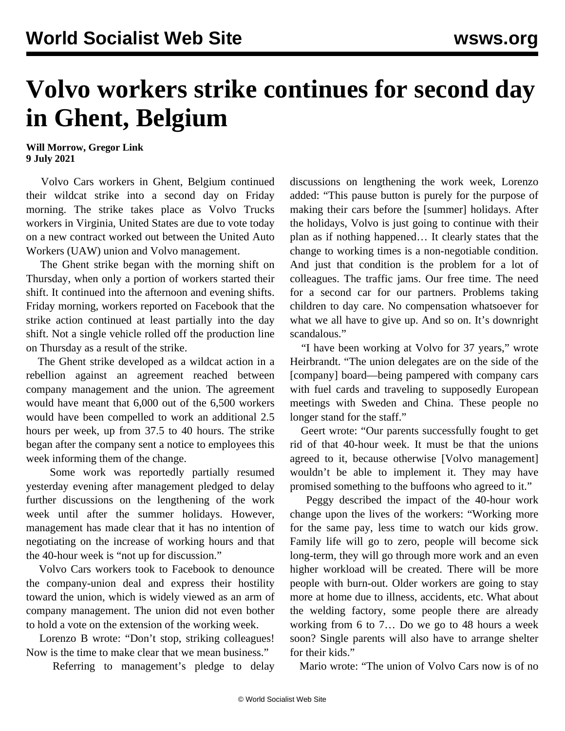## **Volvo workers strike continues for second day in Ghent, Belgium**

**Will Morrow, Gregor Link 9 July 2021**

 Volvo Cars workers in Ghent, Belgium continued their wildcat strike into a second day on Friday morning. The strike takes place as Volvo Trucks workers in Virginia, United States are due to vote today on a new contract worked out between the United Auto Workers (UAW) union and Volvo management.

 The Ghent strike began with the morning shift on Thursday, when only a portion of workers started their shift. It continued into the afternoon and evening shifts. Friday morning, workers reported on Facebook that the strike action continued at least partially into the day shift. Not a single vehicle rolled off the production line on Thursday as a result of the strike.

 The Ghent strike developed as a wildcat action in a rebellion against an agreement reached between company management and the union. The agreement would have meant that 6,000 out of the 6,500 workers would have been compelled to work an additional 2.5 hours per week, up from 37.5 to 40 hours. The strike began after the company sent a notice to employees this week informing them of the change.

 Some work was reportedly partially resumed yesterday evening after management pledged to delay further discussions on the lengthening of the work week until after the summer holidays. However, management has made clear that it has no intention of negotiating on the increase of working hours and that the 40-hour week is "not up for discussion."

 Volvo Cars workers took to Facebook to denounce the company-union deal and express their hostility toward the union, which is widely viewed as an arm of company management. The union did not even bother to hold a vote on the extension of the working week.

 Lorenzo B wrote: "Don't stop, striking colleagues! Now is the time to make clear that we mean business."

Referring to management's pledge to delay

discussions on lengthening the work week, Lorenzo added: "This pause button is purely for the purpose of making their cars before the [summer] holidays. After the holidays, Volvo is just going to continue with their plan as if nothing happened… It clearly states that the change to working times is a non-negotiable condition. And just that condition is the problem for a lot of colleagues. The traffic jams. Our free time. The need for a second car for our partners. Problems taking children to day care. No compensation whatsoever for what we all have to give up. And so on. It's downright scandalous."

 "I have been working at Volvo for 37 years," wrote Heirbrandt. "The union delegates are on the side of the [company] board—being pampered with company cars with fuel cards and traveling to supposedly European meetings with Sweden and China. These people no longer stand for the staff."

 Geert wrote: "Our parents successfully fought to get rid of that 40-hour week. It must be that the unions agreed to it, because otherwise [Volvo management] wouldn't be able to implement it. They may have promised something to the buffoons who agreed to it."

 Peggy described the impact of the 40-hour work change upon the lives of the workers: "Working more for the same pay, less time to watch our kids grow. Family life will go to zero, people will become sick long-term, they will go through more work and an even higher workload will be created. There will be more people with burn-out. Older workers are going to stay more at home due to illness, accidents, etc. What about the welding factory, some people there are already working from 6 to 7… Do we go to 48 hours a week soon? Single parents will also have to arrange shelter for their kids."

Mario wrote: "The union of Volvo Cars now is of no